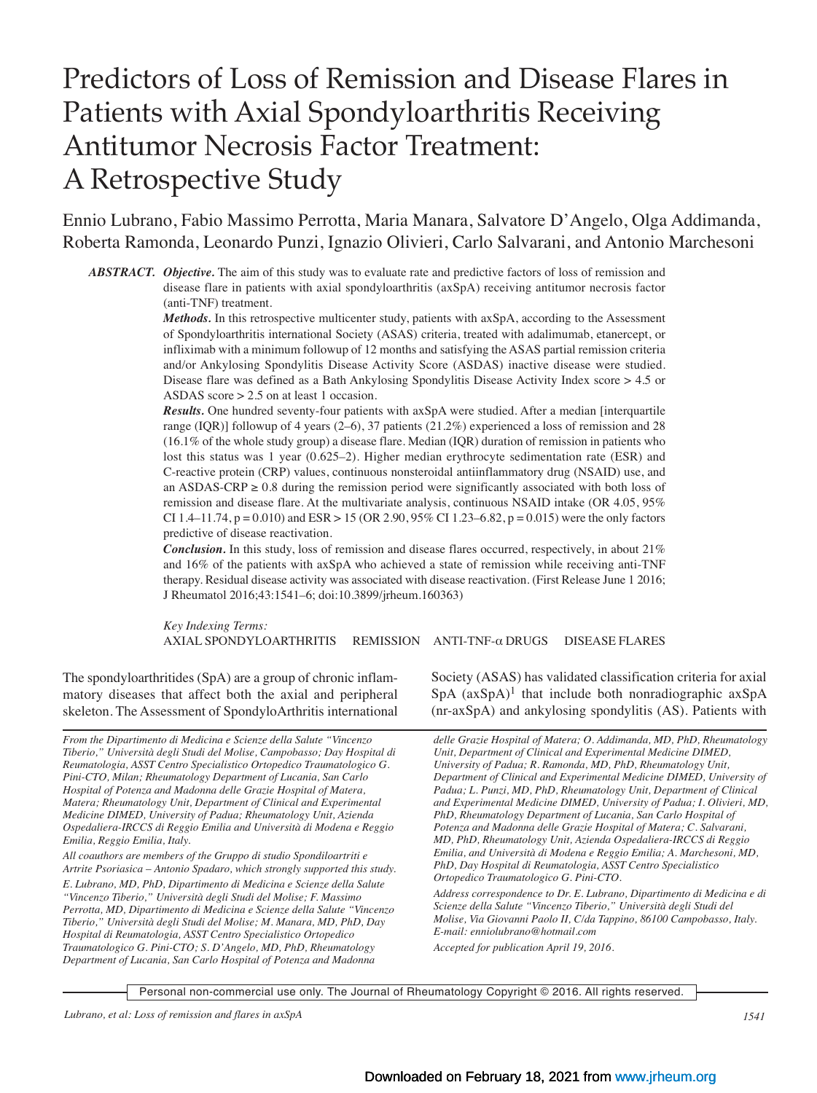# Predictors of Loss of Remission and Disease Flares in Patients with Axial Spondyloarthritis Receiving Antitumor Necrosis Factor Treatment: A Retrospective Study

Ennio Lubrano, Fabio Massimo Perrotta, Maria Manara, Salvatore D'Angelo, Olga Addimanda, Roberta Ramonda, Leonardo Punzi, Ignazio Olivieri, Carlo Salvarani, and Antonio Marchesoni

*ABSTRACT. Objective.* The aim of this study was to evaluate rate and predictive factors of loss of remission and disease flare in patients with axial spondyloarthritis (axSpA) receiving antitumor necrosis factor (anti-TNF) treatment.

> *Methods.* In this retrospective multicenter study, patients with axSpA, according to the Assessment of Spondyloarthritis international Society (ASAS) criteria, treated with adalimumab, etanercept, or infliximab with a minimum followup of 12 months and satisfying the ASAS partial remission criteria and/or Ankylosing Spondylitis Disease Activity Score (ASDAS) inactive disease were studied. Disease flare was defined as a Bath Ankylosing Spondylitis Disease Activity Index score > 4.5 or ASDAS score > 2.5 on at least 1 occasion.

> *Results.* One hundred seventy-four patients with axSpA were studied. After a median [interquartile range (IQR)] followup of 4 years (2–6), 37 patients (21.2%) experienced a loss of remission and 28 (16.1% of the whole study group) a disease flare. Median (IQR) duration of remission in patients who lost this status was 1 year (0.625–2). Higher median erythrocyte sedimentation rate (ESR) and C-reactive protein (CRP) values, continuous nonsteroidal antiinflammatory drug (NSAID) use, and an ASDAS-CRP  $\geq$  0.8 during the remission period were significantly associated with both loss of remission and disease flare. At the multivariate analysis, continuous NSAID intake (OR 4.05, 95% CI 1.4–11.74,  $p = 0.010$ ) and ESR > 15 (OR 2.90, 95% CI 1.23–6.82,  $p = 0.015$ ) were the only factors predictive of disease reactivation.

> *Conclusion.* In this study, loss of remission and disease flares occurred, respectively, in about 21% and 16% of the patients with axSpA who achieved a state of remission while receiving anti-TNF therapy. Residual disease activity was associated with disease reactivation. (First Release June 1 2016; J Rheumatol 2016;43:1541–6; doi:10.3899/jrheum.160363)

> *Key Indexing Terms:* AXIAL SPONDYLOARTHRITIS REMISSION ANTI-TNF-α DRUGS DISEASE FLARES

The spondyloarthritides (SpA) are a group of chronic inflammatory diseases that affect both the axial and peripheral skeleton. The Assessment of SpondyloArthritis international

*From the Dipartimento di Medicina e Scienze della Salute "Vincenzo Tiberio," Università degli Studi del Molise, Campobasso; Day Hospital di Reumatologia, ASST Centro Specialistico Ortopedico Traumatologico G. Pini-CTO, Milan; Rheumatology Department of Lucania, San Carlo Hospital of Potenza and Madonna delle Grazie Hospital of Matera, Matera; Rheumatology Unit, Department of Clinical and Experimental Medicine DIMED, University of Padua; Rheumatology Unit, Azienda Ospedaliera-IRCCS di Reggio Emilia and Università di Modena e Reggio Emilia, Reggio Emilia, Italy.*

*All coauthors are members of the Gruppo di studio Spondiloartriti e Artrite Psoriasica – Antonio Spadaro, which strongly supported this study.*

*E. Lubrano, MD, PhD, Dipartimento di Medicina e Scienze della Salute "Vincenzo Tiberio," Università degli Studi del Molise; F. Massimo Perrotta, MD, Dipartimento di Medicina e Scienze della Salute "Vincenzo Tiberio," Università degli Studi del Molise; M. Manara, MD, PhD, Day Hospital di Reumatologia, ASST Centro Specialistico Ortopedico Traumatologico G. Pini-CTO; S. D'Angelo, MD, PhD, Rheumatology Department of Lucania, San Carlo Hospital of Potenza and Madonna*

Society (ASAS) has validated classification criteria for axial  $SpA (axSpA)<sup>1</sup>$  that include both nonradiographic  $axSpA$ (nr-axSpA) and ankylosing spondylitis (AS). Patients with

*delle Grazie Hospital of Matera; O. Addimanda, MD, PhD, Rheumatology Unit, Department of Clinical and Experimental Medicine DIMED, University of Padua; R. Ramonda, MD, PhD, Rheumatology Unit, Department of Clinical and Experimental Medicine DIMED, University of Padua; L. Punzi, MD, PhD, Rheumatology Unit, Department of Clinical and Experimental Medicine DIMED, University of Padua; I. Olivieri, MD, PhD, Rheumatology Department of Lucania, San Carlo Hospital of Potenza and Madonna delle Grazie Hospital of Matera; C. Salvarani, MD, PhD, Rheumatology Unit, Azienda Ospedaliera-IRCCS di Reggio Emilia, and Università di Modena e Reggio Emilia; A. Marchesoni, MD, PhD, Day Hospital di Reumatologia, ASST Centro Specialistico Ortopedico Traumatologico G. Pini-CTO.*

*Address correspondence to Dr. E. Lubrano, Dipartimento di Medicina e di Scienze della Salute "Vincenzo Tiberio," Università degli Studi del Molise, Via Giovanni Paolo II, C/da Tappino, 86100 Campobasso, Italy. E-mail: enniolubrano@hotmail.com*

*Accepted for publication April 19, 2016.*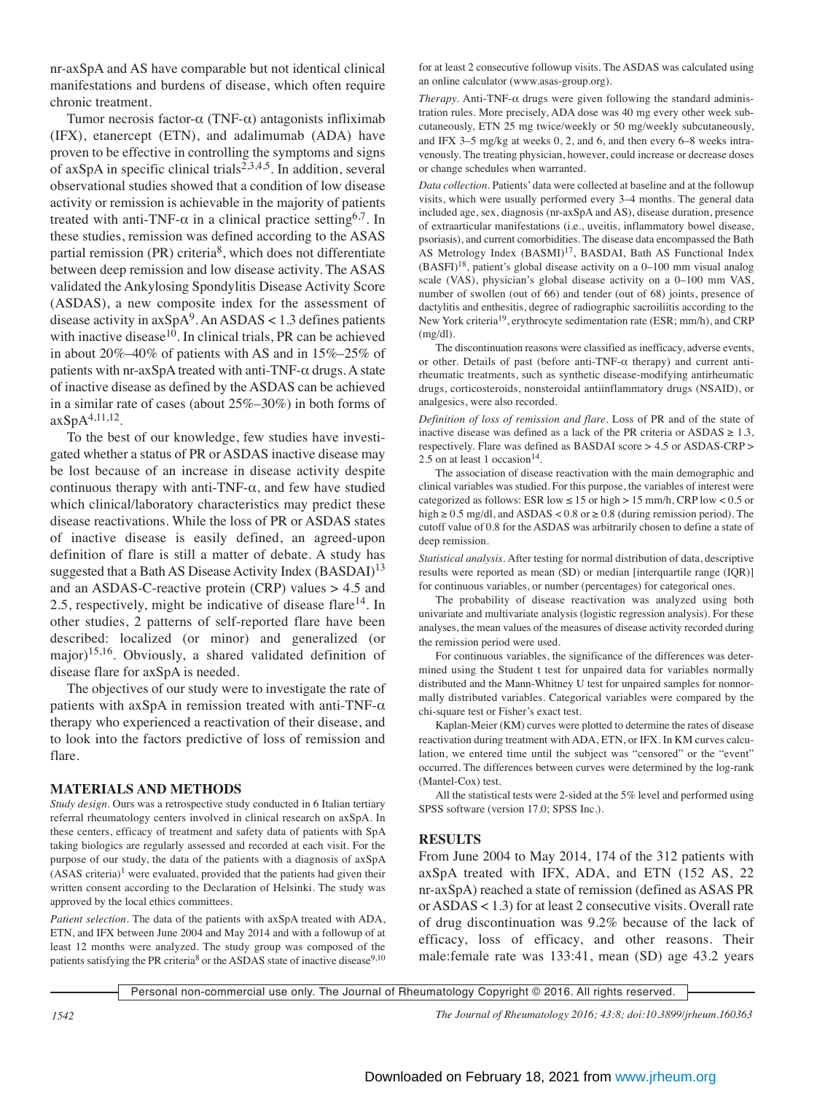nr-axSpA and AS have comparable but not identical clinical manifestations and burdens of disease, which often require chronic treatment.

Tumor necrosis factor- $\alpha$  (TNF- $\alpha$ ) antagonists infliximab (IFX), etanercept (ETN), and adalimumab (ADA) have proven to be effective in controlling the symptoms and signs of axSpA in specific clinical trials<sup>2,3,4,5</sup>. In addition, several observational studies showed that a condition of low disease activity or remission is achievable in the majority of patients treated with anti-TNF- $\alpha$  in a clinical practice setting<sup>6,7</sup>. In these studies, remission was defined according to the ASAS partial remission  $(PR)$  criteria<sup>8</sup>, which does not differentiate between deep remission and low disease activity. The ASAS validated the Ankylosing Spondylitis Disease Activity Score (ASDAS), a new composite index for the assessment of disease activity in  $axSpA<sup>9</sup>$ . An ASDAS < 1.3 defines patients with inactive disease $10$ . In clinical trials, PR can be achieved in about 20%–40% of patients with AS and in 15%–25% of patients with nr-axSpA treated with anti-TNF- $\alpha$  drugs. A state of inactive disease as defined by the ASDAS can be achieved in a similar rate of cases (about 25%–30%) in both forms of axSpA4,11,12.

To the best of our knowledge, few studies have investigated whether a status of PR or ASDAS inactive disease may be lost because of an increase in disease activity despite continuous therapy with anti-TNF- $\alpha$ , and few have studied which clinical/laboratory characteristics may predict these disease reactivations. While the loss of PR or ASDAS states of inactive disease is easily defined, an agreed-upon definition of flare is still a matter of debate. A study has suggested that a Bath AS Disease Activity Index (BASDAI)<sup>13</sup> and an ASDAS-C-reactive protein (CRP) values > 4.5 and 2.5, respectively, might be indicative of disease flare<sup>14</sup>. In other studies, 2 patterns of self-reported flare have been described: localized (or minor) and generalized (or major)15,16. Obviously, a shared validated definition of disease flare for axSpA is needed.

The objectives of our study were to investigate the rate of patients with axSpA in remission treated with anti-TNF- $\alpha$ therapy who experienced a reactivation of their disease, and to look into the factors predictive of loss of remission and flare.

#### **MATERIALS AND METHODS**

*Study design.* Ours was a retrospective study conducted in 6 Italian tertiary referral rheumatology centers involved in clinical research on axSpA. In these centers, efficacy of treatment and safety data of patients with SpA taking biologics are regularly assessed and recorded at each visit. For the purpose of our study, the data of the patients with a diagnosis of axSpA  $(ASAS\, criteria)^1$  were evaluated, provided that the patients had given their written consent according to the Declaration of Helsinki. The study was approved by the local ethics committees.

*Patient selection.* The data of the patients with axSpA treated with ADA, ETN, and IFX between June 2004 and May 2014 and with a followup of at least 12 months were analyzed. The study group was composed of the patients satisfying the PR criteria<sup>8</sup> or the ASDAS state of inactive disease<sup>9,10</sup> for at least 2 consecutive followup visits. The ASDAS was calculated using an online calculator (www.asas-group.org).

*Therapy.* Anti-TNF-α drugs were given following the standard administration rules. More precisely, ADA dose was 40 mg every other week subcutaneously, ETN 25 mg twice/weekly or 50 mg/weekly subcutaneously, and IFX 3–5 mg/kg at weeks 0, 2, and 6, and then every 6–8 weeks intravenously. The treating physician, however, could increase or decrease doses or change schedules when warranted.

*Data collection.* Patients' data were collected at baseline and at the followup visits, which were usually performed every 3–4 months. The general data included age, sex, diagnosis (nr-axSpA and AS), disease duration, presence of extraarticular manifestations (i.e., uveitis, inflammatory bowel disease, psoriasis), and current comorbidities. The disease data encompassed the Bath AS Metrology Index (BASMI)<sup>17</sup>, BASDAI, Bath AS Functional Index  $(BASFI)<sup>18</sup>$ , patient's global disease activity on a 0–100 mm visual analog scale (VAS), physician's global disease activity on a 0–100 mm VAS, number of swollen (out of 66) and tender (out of 68) joints, presence of dactylitis and enthesitis, degree of radiographic sacroiliitis according to the New York criteria<sup>19</sup>, erythrocyte sedimentation rate (ESR; mm/h), and CRP  $(mg/dl)$ .

The discontinuation reasons were classified as inefficacy, adverse events, or other. Details of past (before anti-TNF- $\alpha$  therapy) and current antirheumatic treatments, such as synthetic disease-modifying antirheumatic drugs, corticosteroids, nonsteroidal antiinflammatory drugs (NSAID), or analgesics, were also recorded.

*Definition of loss of remission and flare.* Loss of PR and of the state of inactive disease was defined as a lack of the PR criteria or  $ASDAS \ge 1.3$ , respectively. Flare was defined as BASDAI score > 4.5 or ASDAS-CRP > 2.5 on at least 1 occasion<sup>14</sup>.

The association of disease reactivation with the main demographic and clinical variables was studied. For this purpose, the variables of interest were categorized as follows: ESR low  $\leq 15$  or high  $> 15$  mm/h, CRP low  $< 0.5$  or high  $\geq$  0.5 mg/dl, and ASDAS < 0.8 or  $\geq$  0.8 (during remission period). The cutoff value of 0.8 for the ASDAS was arbitrarily chosen to define a state of deep remission.

*Statistical analysis.* After testing for normal distribution of data, descriptive results were reported as mean (SD) or median [interquartile range (IQR)] for continuous variables, or number (percentages) for categorical ones.

The probability of disease reactivation was analyzed using both univariate and multivariate analysis (logistic regression analysis). For these analyses, the mean values of the measures of disease activity recorded during the remission period were used.

For continuous variables, the significance of the differences was determined using the Student t test for unpaired data for variables normally distributed and the Mann-Whitney U test for unpaired samples for nonnormally distributed variables. Categorical variables were compared by the chi-square test or Fisher's exact test.

Kaplan-Meier (KM) curves were plotted to determine the rates of disease reactivation during treatment with ADA, ETN, or IFX. In KM curves calculation, we entered time until the subject was "censored" or the "event" occurred. The differences between curves were determined by the log-rank (Mantel-Cox) test.

All the statistical tests were 2-sided at the 5% level and performed using SPSS software (version 17.0; SPSS Inc.).

### **RESULTS**

From June 2004 to May 2014, 174 of the 312 patients with axSpA treated with IFX, ADA, and ETN (152 AS, 22 nr-axSpA) reached a state of remission (defined as ASAS PR or ASDAS < 1.3) for at least 2 consecutive visits. Overall rate of drug discontinuation was 9.2% because of the lack of efficacy, loss of efficacy, and other reasons. Their male:female rate was 133:41, mean (SD) age 43.2 years

Personal non-commercial use only. The Journal of Rheumatology Copyright © 2016. All rights reserved.

*1542 The Journal of Rheumatology 2016; 43:8; doi:10.3899/jrheum.160363*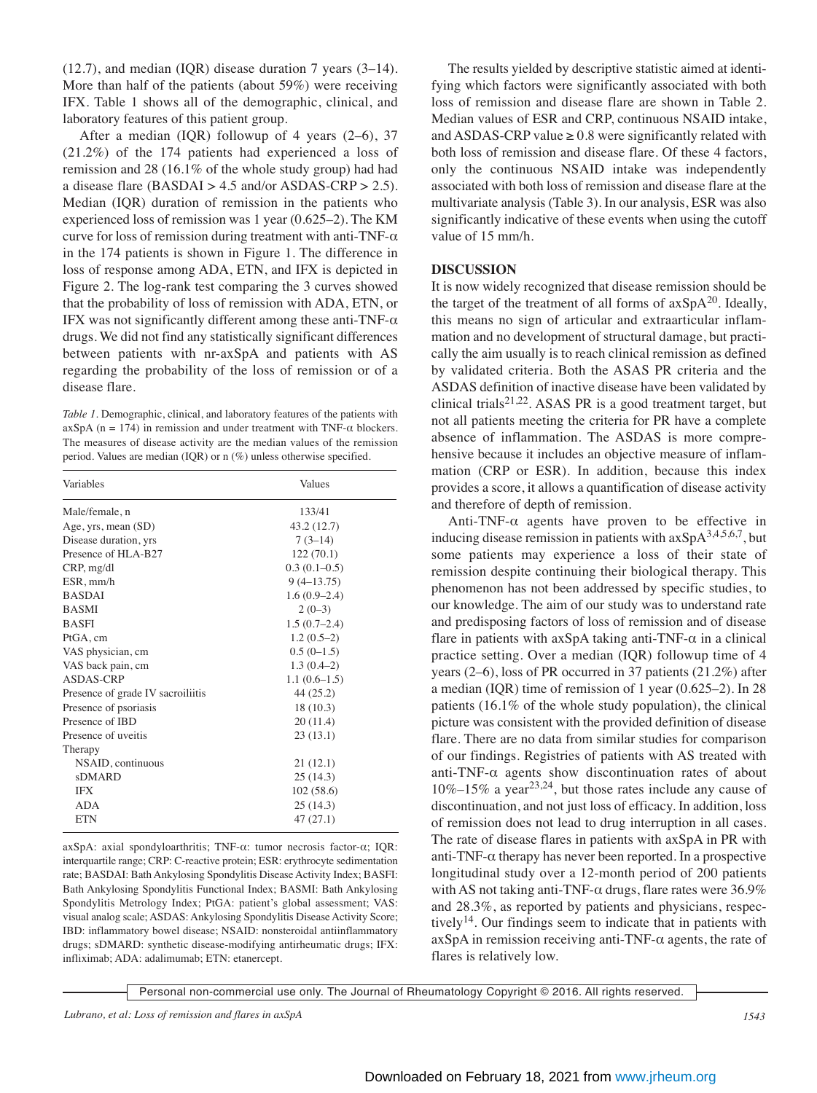(12.7), and median (IQR) disease duration 7 years (3–14). More than half of the patients (about 59%) were receiving IFX. Table 1 shows all of the demographic, clinical, and laboratory features of this patient group.

After a median (IQR) followup of 4 years  $(2-6)$ , 37 (21.2%) of the 174 patients had experienced a loss of remission and 28 (16.1% of the whole study group) had had a disease flare (BASDAI > 4.5 and/or ASDAS-CRP > 2.5). Median (IQR) duration of remission in the patients who experienced loss of remission was 1 year (0.625–2). The KM curve for loss of remission during treatment with anti-TNF- $\alpha$ in the 174 patients is shown in Figure 1. The difference in loss of response among ADA, ETN, and IFX is depicted in Figure 2. The log-rank test comparing the 3 curves showed that the probability of loss of remission with ADA, ETN, or IFX was not significantly different among these anti-TNF-α drugs. We did not find any statistically significant differences between patients with nr-axSpA and patients with AS regarding the probability of the loss of remission or of a disease flare.

*Table 1.* Demographic, clinical, and laboratory features of the patients with  $axSpA (n = 174)$  in remission and under treatment with TNF- $\alpha$  blockers. The measures of disease activity are the median values of the remission period. Values are median (IQR) or n (%) unless otherwise specified.

| Variables                         | Values         |
|-----------------------------------|----------------|
| Male/female, n                    | 133/41         |
| Age, yrs, mean (SD)               | 43.2 (12.7)    |
| Disease duration, yrs             | $7(3-14)$      |
| Presence of HLA-B27               | 122(70.1)      |
| CRP, mg/dl                        | $0.3(0.1-0.5)$ |
| ESR, mm/h                         | $9(4-13.75)$   |
| <b>BASDAI</b>                     | $1.6(0.9-2.4)$ |
| <b>BASMI</b>                      | $2(0-3)$       |
| <b>BASFI</b>                      | $1.5(0.7-2.4)$ |
| PtGA, cm                          | $1.2(0.5-2)$   |
| VAS physician, cm                 | $0.5(0-1.5)$   |
| VAS back pain, cm                 | $1.3(0.4-2)$   |
| ASDAS-CRP                         | $1.1(0.6-1.5)$ |
| Presence of grade IV sacroiliitis | 44 (25.2)      |
| Presence of psoriasis             | 18(10.3)       |
| Presence of IBD                   | 20(11.4)       |
| Presence of uveitis               | 23(13.1)       |
| Therapy                           |                |
| NSAID, continuous                 | 21(12.1)       |
| <b>sDMARD</b>                     | 25(14.3)       |
| IFX                               | 102(58.6)      |
| <b>ADA</b>                        | 25(14.3)       |
| <b>ETN</b>                        | 47(27.1)       |

axSpA: axial spondyloarthritis; TNF-α: tumor necrosis factor-α; IQR: interquartile range; CRP: C-reactive protein; ESR: erythrocyte sedimentation rate; BASDAI: Bath Ankylosing Spondylitis Disease Activity Index; BASFI: Bath Ankylosing Spondylitis Functional Index; BASMI: Bath Ankylosing Spondylitis Metrology Index; PtGA: patient's global assessment; VAS: visual analog scale; ASDAS: Ankylosing Spondylitis Disease Activity Score; IBD: inflammatory bowel disease; NSAID: nonsteroidal antiinflammatory drugs; sDMARD: synthetic disease-modifying antirheumatic drugs; IFX: infliximab; ADA: adalimumab; ETN: etanercept.

The results yielded by descriptive statistic aimed at identifying which factors were significantly associated with both loss of remission and disease flare are shown in Table 2. Median values of ESR and CRP, continuous NSAID intake, and ASDAS-CRP value  $\geq 0.8$  were significantly related with both loss of remission and disease flare. Of these 4 factors, only the continuous NSAID intake was independently associated with both loss of remission and disease flare at the multivariate analysis (Table 3). In our analysis, ESR was also significantly indicative of these events when using the cutoff value of 15 mm/h.

#### **DISCUSSION**

It is now widely recognized that disease remission should be the target of the treatment of all forms of  $axSpA^{20}$ . Ideally, this means no sign of articular and extraarticular inflammation and no development of structural damage, but practically the aim usually is to reach clinical remission as defined by validated criteria. Both the ASAS PR criteria and the ASDAS definition of inactive disease have been validated by clinical trials<sup>21,22</sup>. ASAS PR is a good treatment target, but not all patients meeting the criteria for PR have a complete absence of inflammation. The ASDAS is more comprehensive because it includes an objective measure of inflammation (CRP or ESR). In addition, because this index provides a score, it allows a quantification of disease activity and therefore of depth of remission.

Anti-TNF- $\alpha$  agents have proven to be effective in inducing disease remission in patients with  $axSpA^{3,4,5,6,7}$ , but some patients may experience a loss of their state of remission despite continuing their biological therapy. This phenomenon has not been addressed by specific studies, to our knowledge. The aim of our study was to understand rate and predisposing factors of loss of remission and of disease flare in patients with axSpA taking anti-TNF- $\alpha$  in a clinical practice setting. Over a median (IQR) followup time of 4 years (2–6), loss of PR occurred in 37 patients (21.2%) after a median (IQR) time of remission of 1 year (0.625–2). In 28 patients (16.1% of the whole study population), the clinical picture was consistent with the provided definition of disease flare. There are no data from similar studies for comparison of our findings. Registries of patients with AS treated with anti-TNF- $\alpha$  agents show discontinuation rates of about  $10\% - 15\%$  a year<sup>23,24</sup>, but those rates include any cause of discontinuation, and not just loss of efficacy. In addition, loss of remission does not lead to drug interruption in all cases. The rate of disease flares in patients with axSpA in PR with anti-TNF- $\alpha$  therapy has never been reported. In a prospective longitudinal study over a 12-month period of 200 patients with AS not taking anti-TNF- $\alpha$  drugs, flare rates were 36.9% and 28.3%, as reported by patients and physicians, respectively<sup>14</sup>. Our findings seem to indicate that in patients with  $axSpA$  in remission receiving anti-TNF- $\alpha$  agents, the rate of flares is relatively low.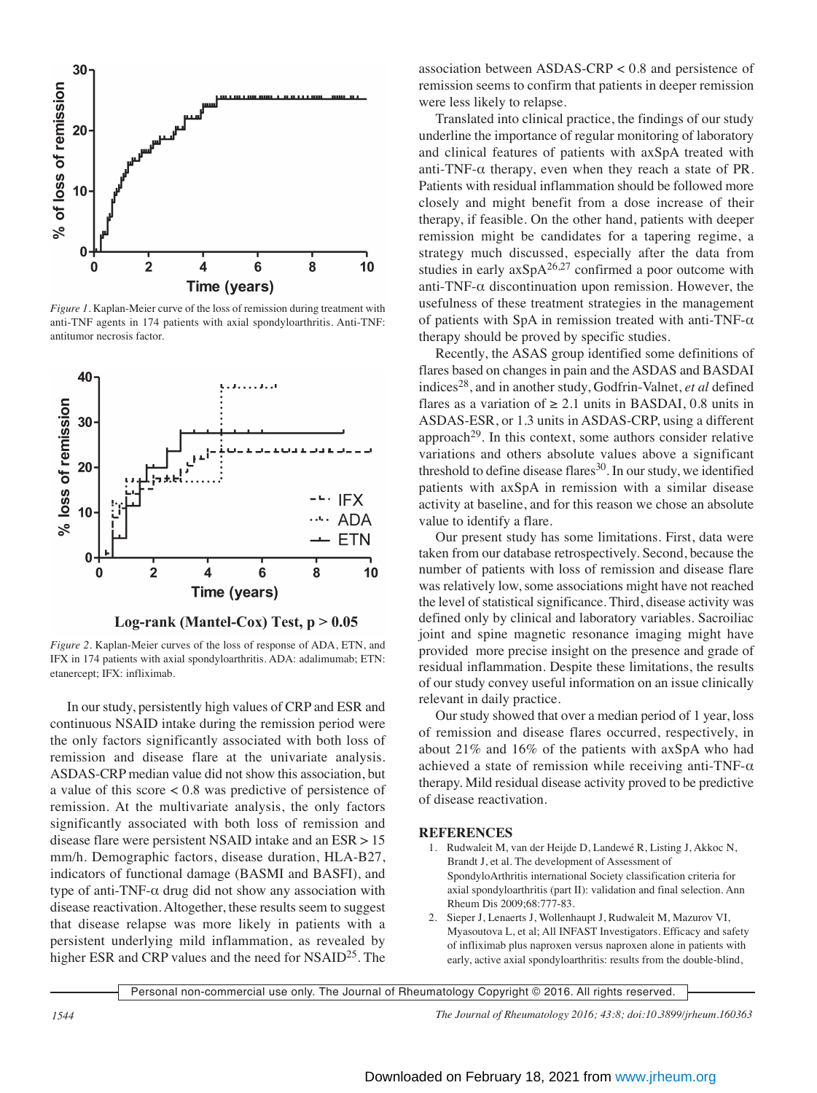

*Figure 1.* Kaplan-Meier curve of the loss of remission during treatment with anti-TNF agents in 174 patients with axial spondyloarthritis. Anti-TNF: antitumor necrosis factor.





*Figure 2.* Kaplan-Meier curves of the loss of response of ADA, ETN, and IFX in 174 patients with axial spondyloarthritis. ADA: adalimumab; ETN: etanercept; IFX: infliximab.

In our study, persistently high values of CRP and ESR and continuous NSAID intake during the remission period were the only factors significantly associated with both loss of remission and disease flare at the univariate analysis. ASDAS-CRP median value did not show this association, but a value of this score < 0.8 was predictive of persistence of remission. At the multivariate analysis, the only factors significantly associated with both loss of remission and disease flare were persistent NSAID intake and an ESR > 15 mm/h. Demographic factors, disease duration, HLA-B27, indicators of functional damage (BASMI and BASFI), and type of anti-TNF- $\alpha$  drug did not show any association with disease reactivation. Altogether, these results seem to suggest that disease relapse was more likely in patients with a persistent underlying mild inflammation, as revealed by higher ESR and CRP values and the need for NSAID<sup>25</sup>. The

association between ASDAS-CRP < 0.8 and persistence of remission seems to confirm that patients in deeper remission were less likely to relapse.

Translated into clinical practice, the findings of our study underline the importance of regular monitoring of laboratory and clinical features of patients with axSpA treated with anti-TNF- $\alpha$  therapy, even when they reach a state of PR. Patients with residual inflammation should be followed more closely and might benefit from a dose increase of their therapy, if feasible. On the other hand, patients with deeper remission might be candidates for a tapering regime, a strategy much discussed, especially after the data from studies in early  $axSpA^{26,27}$  confirmed a poor outcome with anti-TNF- $\alpha$  discontinuation upon remission. However, the usefulness of these treatment strategies in the management of patients with SpA in remission treated with anti-TNF- $\alpha$ therapy should be proved by specific studies.

Recently, the ASAS group identified some definitions of flares based on changes in pain and the ASDAS and BASDAI indices28, and in another study, Godfrin-Valnet, *et al* defined flares as a variation of  $\geq 2.1$  units in BASDAI, 0.8 units in ASDAS-ESR, or 1.3 units in ASDAS-CRP, using a different approach<sup>29</sup>. In this context, some authors consider relative variations and others absolute values above a significant threshold to define disease flares $30$ . In our study, we identified patients with axSpA in remission with a similar disease activity at baseline, and for this reason we chose an absolute value to identify a flare.

Our present study has some limitations. First, data were taken from our database retrospectively. Second, because the number of patients with loss of remission and disease flare was relatively low, some associations might have not reached the level of statistical significance. Third, disease activity was defined only by clinical and laboratory variables. Sacroiliac joint and spine magnetic resonance imaging might have provided more precise insight on the presence and grade of residual inflammation. Despite these limitations, the results of our study convey useful information on an issue clinically relevant in daily practice.

Our study showed that over a median period of 1 year, loss of remission and disease flares occurred, respectively, in about 21% and 16% of the patients with axSpA who had achieved a state of remission while receiving anti-TNF- $\alpha$ therapy. Mild residual disease activity proved to be predictive of disease reactivation.

#### **REFERENCES**

- 1. Rudwaleit M, van der Heijde D, Landewé R, Listing J, Akkoc N, Brandt J, et al. The development of Assessment of SpondyloArthritis international Society classification criteria for axial spondyloarthritis (part II): validation and final selection. Ann Rheum Dis 2009;68:777-83.
- 2. Sieper J, Lenaerts J, Wollenhaupt J, Rudwaleit M, Mazurov VI, Myasoutova L, et al; All INFAST Investigators. Efficacy and safety of infliximab plus naproxen versus naproxen alone in patients with early, active axial spondyloarthritis: results from the double-blind,

Personal non-commercial use only. The Journal of Rheumatology Copyright © 2016. All rights reserved.

*1544 The Journal of Rheumatology 2016; 43:8; doi:10.3899/jrheum.160363*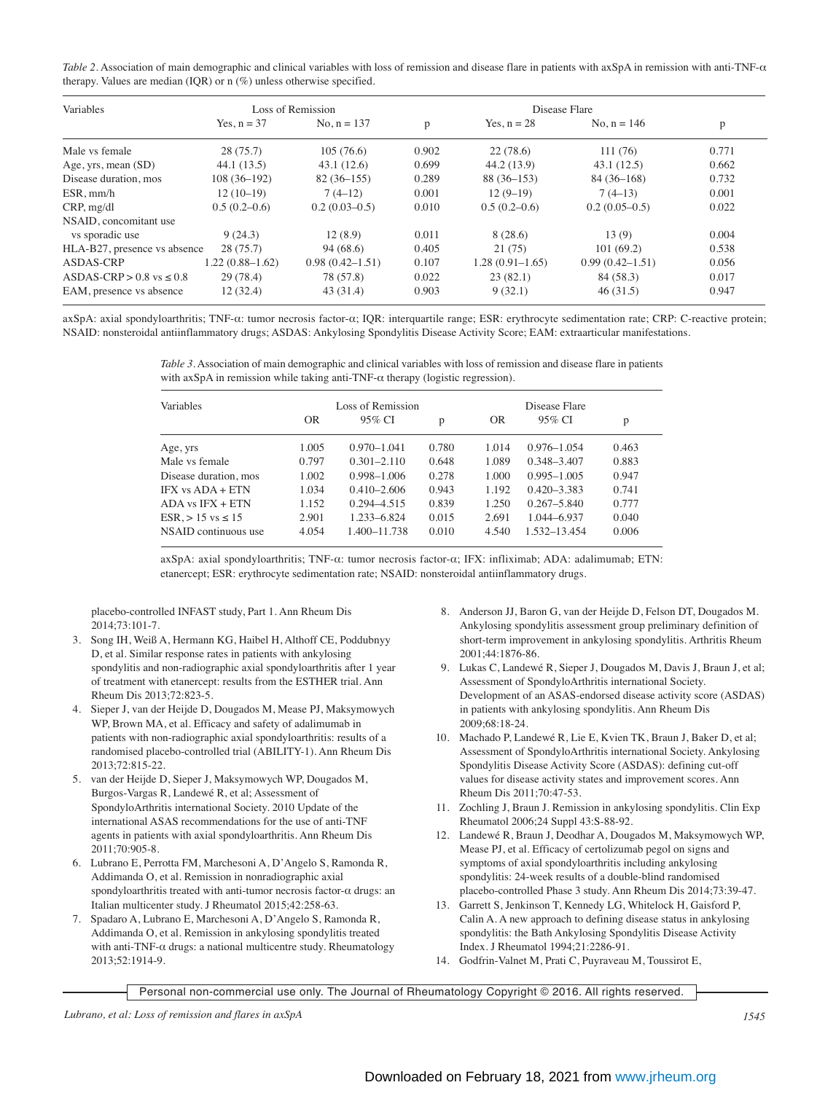| Table 2. Association of main demographic and clinical variables with loss of remission and disease flare in patients with axSpA in remission with anti-TNF- $\alpha$ |  |
|----------------------------------------------------------------------------------------------------------------------------------------------------------------------|--|
| therapy. Values are median (IQR) or $n$ (%) unless otherwise specified.                                                                                              |  |

| Variables                       | Loss of Remission |                     |       |                   |                     |       |
|---------------------------------|-------------------|---------------------|-------|-------------------|---------------------|-------|
|                                 | Yes, $n = 37$     | No. $n = 137$       | p     | Yes, $n = 28$     | No, $n = 146$       | p     |
| Male vs female                  | 28(75.7)          | 105(76.6)           | 0.902 | 22(78.6)          | 111(76)             | 0.771 |
| Age, yrs, mean (SD)             | 44.1(13.5)        | 43.1(12.6)          | 0.699 | 44.2(13.9)        | 43.1(12.5)          | 0.662 |
| Disease duration, mos           | $108(36-192)$     | $82(36-155)$        | 0.289 | $88(36-153)$      | $84(36-168)$        | 0.732 |
| $ESR.$ mm/h                     | $12(10-19)$       | $7(4-12)$           | 0.001 | $12(9-19)$        | $7(4-13)$           | 0.001 |
| CRP, mg/dl                      | $0.5(0.2-0.6)$    | $0.2(0.03-0.5)$     | 0.010 | $0.5(0.2-0.6)$    | $0.2(0.05-0.5)$     | 0.022 |
| NSAID, concomitant use          |                   |                     |       |                   |                     |       |
| vs sporadic use                 | 9(24.3)           | 12(8.9)             | 0.011 | 8(28.6)           | 13(9)               | 0.004 |
| HLA-B27, presence vs absence    | 28(75.7)          | 94(68.6)            | 0.405 | 21(75)            | 101(69.2)           | 0.538 |
| <b>ASDAS-CRP</b>                | $1.22(0.88-1.62)$ | $0.98(0.42 - 1.51)$ | 0.107 | $1.28(0.91-1.65)$ | $0.99(0.42 - 1.51)$ | 0.056 |
| ASDAS-CRP $> 0.8$ vs $\leq 0.8$ | 29 (78.4)         | 78 (57.8)           | 0.022 | 23(82.1)          | 84 (58.3)           | 0.017 |
| EAM, presence vs absence        | 12(32.4)          | 43(31.4)            | 0.903 | 9(32.1)           | 46(31.5)            | 0.947 |

axSpA: axial spondyloarthritis; TNF-α: tumor necrosis factor-α; IQR: interquartile range; ESR: erythrocyte sedimentation rate; CRP: C-reactive protein; NSAID: nonsteroidal antiinflammatory drugs; ASDAS: Ankylosing Spondylitis Disease Activity Score; EAM: extraarticular manifestations.

> *Table 3.* Association of main demographic and clinical variables with loss of remission and disease flare in patients with axSpA in remission while taking anti-TNF- $\alpha$  therapy (logistic regression).

| <b>Variables</b>         | Loss of Remission |                 |       | Disease Flare |                 |       |
|--------------------------|-------------------|-----------------|-------|---------------|-----------------|-------|
|                          | <b>OR</b>         | 95% CI          | p     | OR            | 95% CI          | p     |
| Age, yrs                 | 1.005             | $0.970 - 1.041$ | 0.780 | 1.014         | $0.976 - 1.054$ | 0.463 |
| Male vs female           | 0.797             | $0.301 - 2.110$ | 0.648 | 1.089         | $0.348 - 3.407$ | 0.883 |
| Disease duration, mos    | 1.002             | $0.998 - 1.006$ | 0.278 | 1.000         | $0.995 - 1.005$ | 0.947 |
| IFX vs ADA + ETN         | 1.034             | $0.410 - 2.606$ | 0.943 | 1.192         | $0.420 - 3.383$ | 0.741 |
| $ADA$ vs $IFX + ETN$     | 1.152             | $0.294 - 4.515$ | 0.839 | 1.250         | $0.267 - 5.840$ | 0.777 |
| $ESR. > 15$ vs $\leq 15$ | 2.901             | 1.233-6.824     | 0.015 | 2.691         | 1.044-6.937     | 0.040 |
| NSAID continuous use     | 4.054             | 1.400-11.738    | 0.010 | 4.540         | 1.532-13.454    | 0.006 |

axSpA: axial spondyloarthritis; TNF-α: tumor necrosis factor-α; IFX: infliximab; ADA: adalimumab; ETN: etanercept; ESR: erythrocyte sedimentation rate; NSAID: nonsteroidal antiinflammatory drugs.

placebo-controlled INFAST study, Part 1. Ann Rheum Dis 2014;73:101-7.

- 3. Song IH, Weiß A, Hermann KG, Haibel H, Althoff CE, Poddubnyy D, et al. Similar response rates in patients with ankylosing spondylitis and non-radiographic axial spondyloarthritis after 1 year of treatment with etanercept: results from the ESTHER trial. Ann Rheum Dis 2013;72:823-5.
- 4. Sieper J, van der Heijde D, Dougados M, Mease PJ, Maksymowych WP, Brown MA, et al. Efficacy and safety of adalimumab in patients with non-radiographic axial spondyloarthritis: results of a randomised placebo-controlled trial (ABILITY-1). Ann Rheum Dis 2013;72:815-22.
- 5. van der Heijde D, Sieper J, Maksymowych WP, Dougados M, Burgos-Vargas R, Landewé R, et al; Assessment of SpondyloArthritis international Society. 2010 Update of the international ASAS recommendations for the use of anti-TNF agents in patients with axial spondyloarthritis. Ann Rheum Dis 2011;70:905-8.
- 6. Lubrano E, Perrotta FM, Marchesoni A, D'Angelo S, Ramonda R, Addimanda O, et al. Remission in nonradiographic axial spondyloarthritis treated with anti-tumor necrosis factor-α drugs: an Italian multicenter study. J Rheumatol 2015;42:258-63.
- 7. Spadaro A, Lubrano E, Marchesoni A, D'Angelo S, Ramonda R, Addimanda O, et al. Remission in ankylosing spondylitis treated with anti-TNF-α drugs: a national multicentre study. Rheumatology 2013;52:1914-9.
- 8. Anderson JJ, Baron G, van der Heijde D, Felson DT, Dougados M. Ankylosing spondylitis assessment group preliminary definition of short-term improvement in ankylosing spondylitis. Arthritis Rheum 2001;44:1876-86.
- 9. Lukas C, Landewé R, Sieper J, Dougados M, Davis J, Braun J, et al; Assessment of SpondyloArthritis international Society. Development of an ASAS-endorsed disease activity score (ASDAS) in patients with ankylosing spondylitis. Ann Rheum Dis 2009;68:18-24.
- 10. Machado P, Landewé R, Lie E, Kvien TK, Braun J, Baker D, et al; Assessment of SpondyloArthritis international Society. Ankylosing Spondylitis Disease Activity Score (ASDAS): defining cut-off values for disease activity states and improvement scores. Ann Rheum Dis 2011;70:47-53.
- 11. Zochling J, Braun J. Remission in ankylosing spondylitis. Clin Exp Rheumatol 2006;24 Suppl 43:S-88-92.
- 12. Landewé R, Braun J, Deodhar A, Dougados M, Maksymowych WP, Mease PJ, et al. Efficacy of certolizumab pegol on signs and symptoms of axial spondyloarthritis including ankylosing spondylitis: 24-week results of a double-blind randomised placebo-controlled Phase 3 study. Ann Rheum Dis 2014;73:39-47.
- 13. Garrett S, Jenkinson T, Kennedy LG, Whitelock H, Gaisford P, Calin A. A new approach to defining disease status in ankylosing spondylitis: the Bath Ankylosing Spondylitis Disease Activity Index. J Rheumatol 1994;21:2286-91.
- 14. Godfrin-Valnet M, Prati C, Puyraveau M, Toussirot E,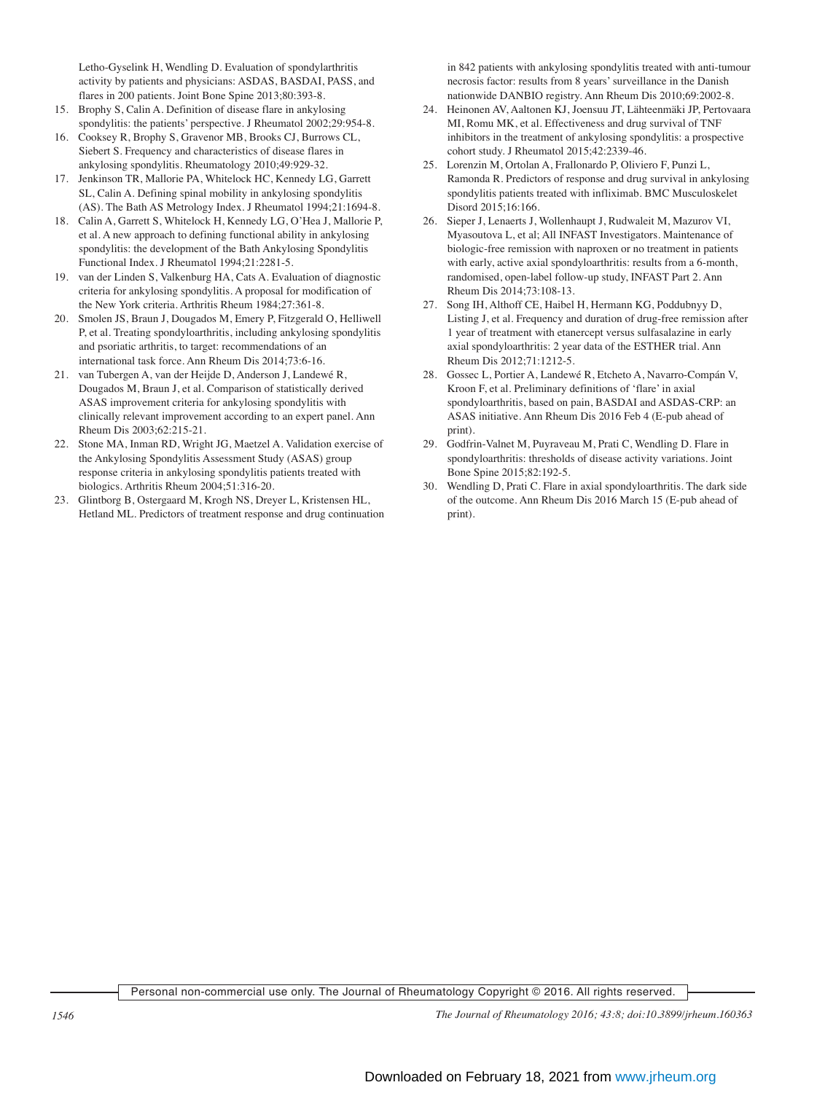Letho-Gyselink H, Wendling D. Evaluation of spondylarthritis activity by patients and physicians: ASDAS, BASDAI, PASS, and flares in 200 patients. Joint Bone Spine 2013;80:393-8.

- 15. Brophy S, Calin A. Definition of disease flare in ankylosing spondylitis: the patients' perspective. J Rheumatol 2002;29:954-8.
- 16. Cooksey R, Brophy S, Gravenor MB, Brooks CJ, Burrows CL, Siebert S. Frequency and characteristics of disease flares in ankylosing spondylitis. Rheumatology 2010;49:929-32.
- 17. Jenkinson TR, Mallorie PA, Whitelock HC, Kennedy LG, Garrett SL, Calin A. Defining spinal mobility in ankylosing spondylitis (AS). The Bath AS Metrology Index. J Rheumatol 1994;21:1694-8.
- 18. Calin A, Garrett S, Whitelock H, Kennedy LG, O'Hea J, Mallorie P, et al. A new approach to defining functional ability in ankylosing spondylitis: the development of the Bath Ankylosing Spondylitis Functional Index. J Rheumatol 1994;21:2281-5.
- 19. van der Linden S, Valkenburg HA, Cats A. Evaluation of diagnostic criteria for ankylosing spondylitis. A proposal for modification of the New York criteria. Arthritis Rheum 1984;27:361-8.
- 20. Smolen JS, Braun J, Dougados M, Emery P, Fitzgerald O, Helliwell P, et al. Treating spondyloarthritis, including ankylosing spondylitis and psoriatic arthritis, to target: recommendations of an international task force. Ann Rheum Dis 2014;73:6-16.
- 21. van Tubergen A, van der Heijde D, Anderson J, Landewé R, Dougados M, Braun J, et al. Comparison of statistically derived ASAS improvement criteria for ankylosing spondylitis with clinically relevant improvement according to an expert panel. Ann Rheum Dis 2003;62:215-21.
- 22. Stone MA, Inman RD, Wright JG, Maetzel A. Validation exercise of the Ankylosing Spondylitis Assessment Study (ASAS) group response criteria in ankylosing spondylitis patients treated with biologics. Arthritis Rheum 2004;51:316-20.
- 23. Glintborg B, Ostergaard M, Krogh NS, Dreyer L, Kristensen HL, Hetland ML. Predictors of treatment response and drug continuation

in 842 patients with ankylosing spondylitis treated with anti-tumour necrosis factor: results from 8 years' surveillance in the Danish nationwide DANBIO registry. Ann Rheum Dis 2010;69:2002-8.

- 24. Heinonen AV, Aaltonen KJ, Joensuu JT, Lähteenmäki JP, Pertovaara MI, Romu MK, et al. Effectiveness and drug survival of TNF inhibitors in the treatment of ankylosing spondylitis: a prospective cohort study. J Rheumatol 2015;42:2339-46.
- 25. Lorenzin M, Ortolan A, Frallonardo P, Oliviero F, Punzi L, Ramonda R. Predictors of response and drug survival in ankylosing spondylitis patients treated with infliximab. BMC Musculoskelet Disord 2015;16:166.
- 26. Sieper J, Lenaerts J, Wollenhaupt J, Rudwaleit M, Mazurov VI, Myasoutova L, et al; All INFAST Investigators. Maintenance of biologic-free remission with naproxen or no treatment in patients with early, active axial spondyloarthritis: results from a 6-month, randomised, open-label follow-up study, INFAST Part 2. Ann Rheum Dis 2014;73:108-13.
- 27. Song IH, Althoff CE, Haibel H, Hermann KG, Poddubnyy D, Listing J, et al. Frequency and duration of drug-free remission after 1 year of treatment with etanercept versus sulfasalazine in early axial spondyloarthritis: 2 year data of the ESTHER trial. Ann Rheum Dis 2012;71:1212-5.
- 28. Gossec L, Portier A, Landewé R, Etcheto A, Navarro-Compán V, Kroon F, et al. Preliminary definitions of 'flare' in axial spondyloarthritis, based on pain, BASDAI and ASDAS-CRP: an ASAS initiative. Ann Rheum Dis 2016 Feb 4 (E-pub ahead of print).
- 29. Godfrin-Valnet M, Puyraveau M, Prati C, Wendling D. Flare in spondyloarthritis: thresholds of disease activity variations. Joint Bone Spine 2015;82:192-5.
- 30. Wendling D, Prati C. Flare in axial spondyloarthritis. The dark side of the outcome. Ann Rheum Dis 2016 March 15 (E-pub ahead of print).